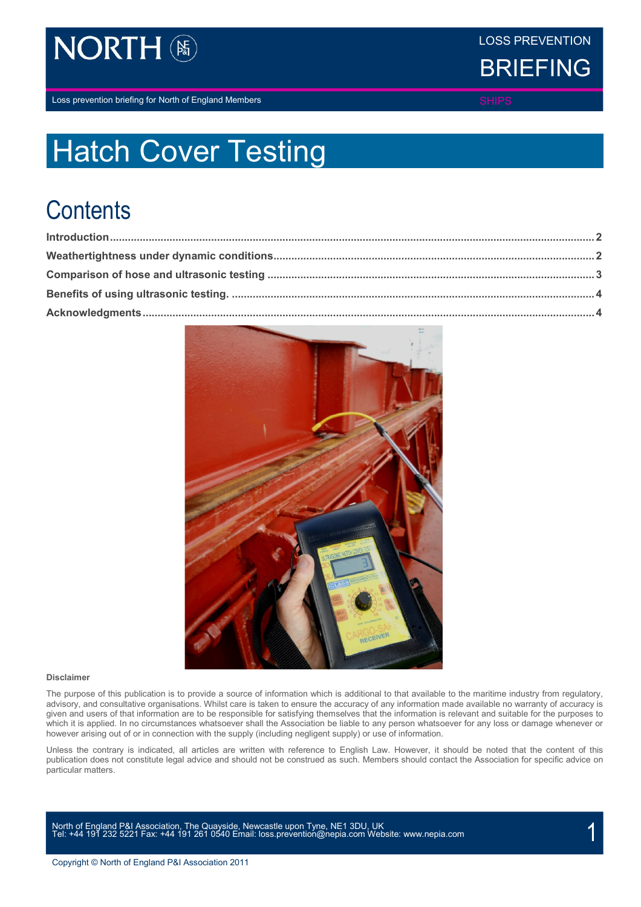

LOSS PREVENTION



Loss prevention briefing for North of England Members SHIPS SHIPS SHIPS

# Hatch Cover Testing

# **Contents**



#### **Disclaimer**

The purpose of this publication is to provide a source of information which is additional to that available to the maritime industry from regulatory, advisory, and consultative organisations. Whilst care is taken to ensure the accuracy of any information made available no warranty of accuracy is given and users of that information are to be responsible for satisfying themselves that the information is relevant and suitable for the purposes to which it is applied. In no circumstances whatsoever shall the Association be liable to any person whatsoever for any loss or damage whenever or however arising out of or in connection with the supply (including negligent supply) or use of information.

Unless the contrary is indicated, all articles are written with reference to English Law. However, it should be noted that the content of this publication does not constitute legal advice and should not be construed as such. Members should contact the Association for specific advice on particular matters.

North of England P&I Association, The Quayside, Newcastle upon Tyne, NE1 3DU, UK<br>Tel: +44 191 232 5221 Fax: +44 191 261 0540 Email[: loss.prevention@nepia.com](mailto:loss.prevention@nepia.com) Website[: www.nepia.com](http://www.nepia.com/) 1999 1999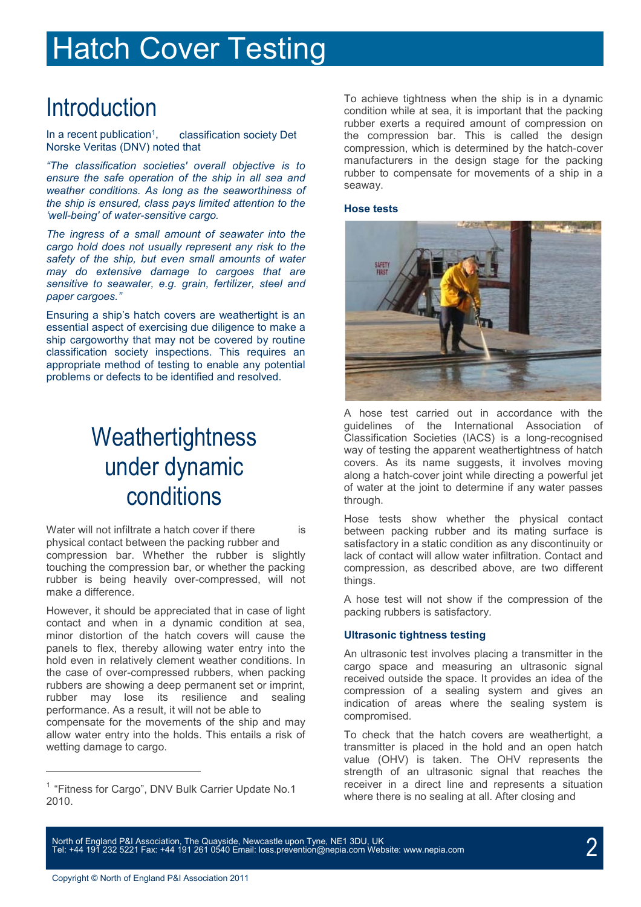# Hatch Cover Testing

In a recent publication<sup>1</sup>, classification society Det Norske Veritas (DNV) noted that

*"The classification societies' overall objective is to ensure the safe operation of the ship in all sea and weather conditions. As long as the seaworthiness of the ship is ensured, class pays limited attention to the 'well-being' of water-sensitive cargo.*

*The ingress of a small amount of seawater into the cargo hold does not usually represent any risk to the safety of the ship, but even small amounts of water may do extensive damage to cargoes that are sensitive to seawater, e.g. grain, fertilizer, steel and paper cargoes."*

Ensuring a ship's hatch covers are weathertight is an essential aspect of exercising due diligence to make a ship cargoworthy that may not be covered by routine classification society inspections. This requires an appropriate method of testing to enable any potential problems or defects to be identified and resolved.

### **Weathertightness** under dynamic conditions

Water will not infiltrate a hatch cover if there is physical contact between the packing rubber and compression bar. Whether the rubber is slightly touching the compression bar, or whether the packing rubber is being heavily over-compressed, will not make a difference.

However, it should be appreciated that in case of light contact and when in a dynamic condition at sea, minor distortion of the hatch covers will cause the panels to flex, thereby allowing water entry into the hold even in relatively clement weather conditions. In the case of over-compressed rubbers, when packing rubbers are showing a deep permanent set or imprint, rubber may lose its resilience and sealing performance. As a result, it will not be able to compensate for the movements of the ship and may allow water entry into the holds. This entails a risk of wetting damage to cargo.

Introduction<br>
Introduction Condition while at sea, it is important that the packing<br>
Interior condition while at sea, it is important that the packing rubber exerts a required amount of compression on the compression bar. This is called the design compression, which is determined by the hatch-cover manufacturers in the design stage for the packing rubber to compensate for movements of a ship in a seaway.

### **Hose tests**



A hose test carried out in accordance with the guidelines of the International Association of Classification Societies (IACS) is a long-recognised way of testing the apparent weathertightness of hatch covers. As its name suggests, it involves moving along a hatch-cover joint while directing a powerful jet of water at the joint to determine if any water passes through.

Hose tests show whether the physical contact between packing rubber and its mating surface is satisfactory in a static condition as any discontinuity or lack of contact will allow water infiltration. Contact and compression, as described above, are two different things.

A hose test will not show if the compression of the packing rubbers is satisfactory.

### **Ultrasonic tightness testing**

An ultrasonic test involves placing a transmitter in the cargo space and measuring an ultrasonic signal received outside the space. It provides an idea of the compression of a sealing system and gives an indication of areas where the sealing system is compromised.

To check that the hatch covers are weathertight, a transmitter is placed in the hold and an open hatch value (OHV) is taken. The OHV represents the strength of an ultrasonic signal that reaches the receiver in a direct line and represents a situation where there is no sealing at all. After closing and

North of England P&I Association, The Quayside, Newcastle upon Tyne, NE1 3DU, UK<br>Tel: +44 191 232 5221 Fax: +44 191 261 0540 Email[: loss.prevention@nepia.com](mailto:loss.prevention@nepia.com) Website[: www.nepia.com](http://www.nepia.com/) 2020 2020

<sup>&</sup>lt;sup>1</sup> "Fitness for Cargo", DNV Bulk Carrier Update No.1 2010.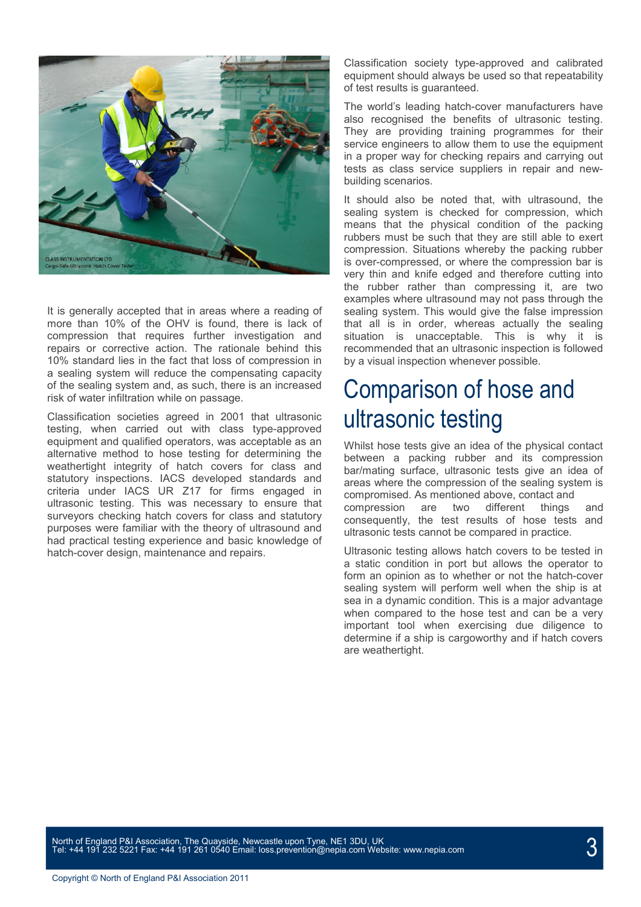

It is generally accepted that in areas where a reading of more than 10% of the OHV is found, there is lack of compression that requires further investigation and repairs or corrective action. The rationale behind this 10% standard lies in the fact that loss of compression in a sealing system will reduce the compensating capacity of the sealing system and, as such, there is an increased risk of water infiltration while on passage.

Classification societies agreed in 2001 that ultrasonic testing, when carried out with class type-approved equipment and qualified operators, was acceptable as an alternative method to hose testing for determining the weathertight integrity of hatch covers for class and statutory inspections. IACS developed standards and criteria under IACS UR Z17 for firms engaged in ultrasonic testing. This was necessary to ensure that surveyors checking hatch covers for class and statutory purposes were familiar with the theory of ultrasound and had practical testing experience and basic knowledge of hatch-cover design, maintenance and repairs.

Classification society type-approved and calibrated equipment should always be used so that repeatability of test results is guaranteed.

The world's leading hatch-cover manufacturers have also recognised the benefits of ultrasonic testing. They are providing training programmes for their service engineers to allow them to use the equipment in a proper way for checking repairs and carrying out tests as class service suppliers in repair and newbuilding scenarios.

It should also be noted that, with ultrasound, the sealing system is checked for compression, which means that the physical condition of the packing rubbers must be such that they are still able to exert compression. Situations whereby the packing rubber is over-compressed, or where the compression bar is very thin and knife edged and therefore cutting into the rubber rather than compressing it, are two examples where ultrasound may not pass through the sealing system. This would give the false impression that all is in order, whereas actually the sealing situation is unacceptable. This is why it is recommended that an ultrasonic inspection is followed by a visual inspection whenever possible.

### Comparison of hose and ultrasonic testing

Whilst hose tests give an idea of the physical contact between a packing rubber and its compression bar/mating surface, ultrasonic tests give an idea of areas where the compression of the sealing system is compromised. As mentioned above, contact and compression are two different things and consequently, the test results of hose tests and ultrasonic tests cannot be compared in practice.

Ultrasonic testing allows hatch covers to be tested in a static condition in port but allows the operator to form an opinion as to whether or not the hatch-cover sealing system will perform well when the ship is at sea in a dynamic condition. This is a major advantage when compared to the hose test and can be a very important tool when exercising due diligence to determine if a ship is cargoworthy and if hatch covers are weathertight.